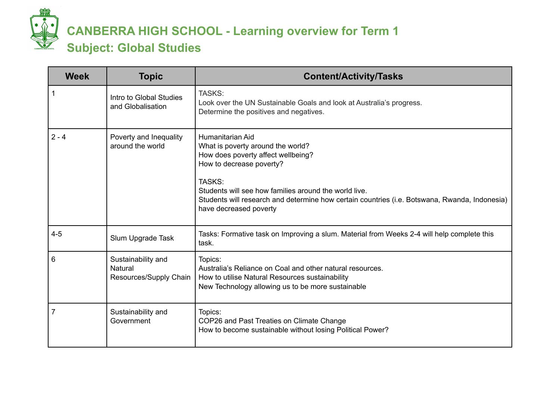

## **CANBERRA HIGH SCHOOL - Learning overview for Term 1 Subject: Global Studies**

| <b>Week</b> | <b>Topic</b>                                            | <b>Content/Activity/Tasks</b>                                                                                                                                                                                                                                                                                         |
|-------------|---------------------------------------------------------|-----------------------------------------------------------------------------------------------------------------------------------------------------------------------------------------------------------------------------------------------------------------------------------------------------------------------|
|             | Intro to Global Studies<br>and Globalisation            | TASKS:<br>Look over the UN Sustainable Goals and look at Australia's progress.<br>Determine the positives and negatives.                                                                                                                                                                                              |
| $2 - 4$     | Poverty and Inequality<br>around the world              | Humanitarian Aid<br>What is poverty around the world?<br>How does poverty affect wellbeing?<br>How to decrease poverty?<br>TASKS:<br>Students will see how families around the world live.<br>Students will research and determine how certain countries (i.e. Botswana, Rwanda, Indonesia)<br>have decreased poverty |
| $4 - 5$     | Slum Upgrade Task                                       | Tasks: Formative task on Improving a slum. Material from Weeks 2-4 will help complete this<br>task.                                                                                                                                                                                                                   |
| 6           | Sustainability and<br>Natural<br>Resources/Supply Chain | Topics:<br>Australia's Reliance on Coal and other natural resources.<br>How to utilise Natural Resources sustainability<br>New Technology allowing us to be more sustainable                                                                                                                                          |
| 7           | Sustainability and<br>Government                        | Topics:<br>COP26 and Past Treaties on Climate Change<br>How to become sustainable without losing Political Power?                                                                                                                                                                                                     |